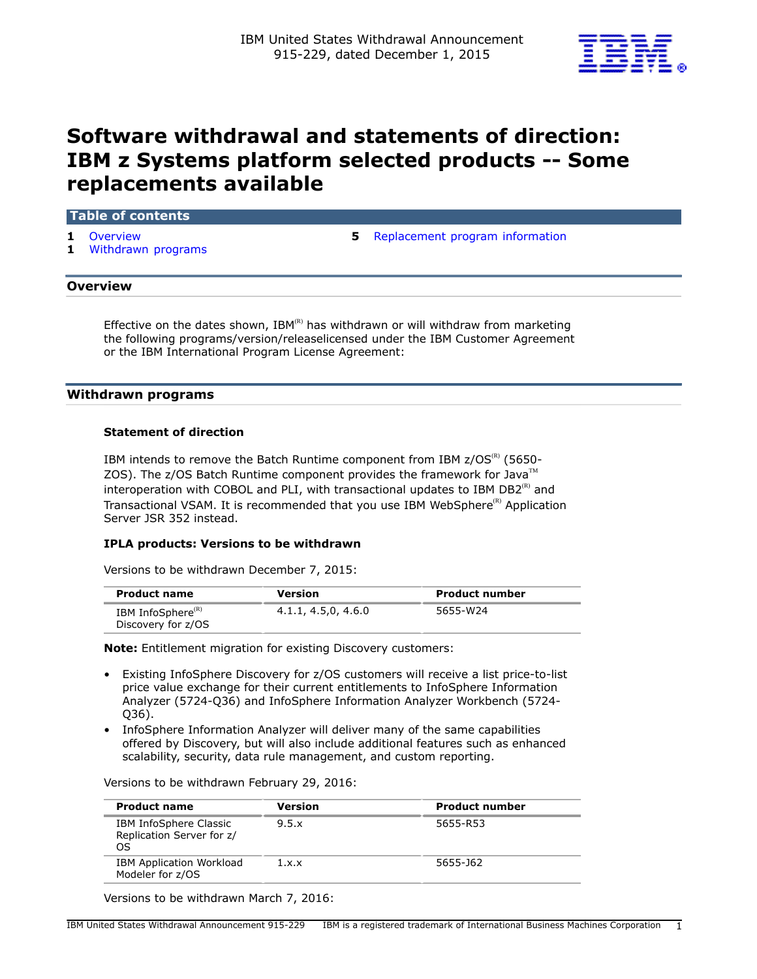

# **Software withdrawal and statements of direction: IBM z Systems platform selected products -- Some replacements available**

## **Table of contents**

- 
- **1** [Withdrawn programs](#page-0-1)

**1** [Overview](#page-0-0) **5** [Replacement program information](#page-4-0)

#### <span id="page-0-0"></span>**Overview**

Effective on the dates shown, IBM ${}^{\textrm{\tiny{\textregistered}}}$  has withdrawn or will withdraw from marketing the following programs/version/releaselicensed under the IBM Customer Agreement or the IBM International Program License Agreement:

#### <span id="page-0-1"></span>**Withdrawn programs**

#### **Statement of direction**

IBM intends to remove the Batch Runtime component from IBM  $z/OS^{(R)}$  (5650-ZOS). The z/OS Batch Runtime component provides the framework for Java<sup>TM</sup> interoperation with COBOL and PLI, with transactional updates to IBM DB2 $^{(R)}$  and Transactional VSAM. It is recommended that you use IBM WebSphere<sup>(R)</sup> Application Server JSR 352 instead.

#### **IPLA products: Versions to be withdrawn**

Versions to be withdrawn December 7, 2015:

| <b>Product name</b>                                 | Version             | <b>Product number</b> |
|-----------------------------------------------------|---------------------|-----------------------|
| IBM InfoSphere <sup>(R)</sup><br>Discovery for z/OS | 4.1.1, 4.5,0, 4.6.0 | 5655-W24              |

**Note:** Entitlement migration for existing Discovery customers:

- Existing InfoSphere Discovery for z/OS customers will receive a list price-to-list price value exchange for their current entitlements to InfoSphere Information Analyzer (5724-Q36) and InfoSphere Information Analyzer Workbench (5724- Q36).
- InfoSphere Information Analyzer will deliver many of the same capabilities offered by Discovery, but will also include additional features such as enhanced scalability, security, data rule management, and custom reporting.

Versions to be withdrawn February 29, 2016:

| <b>Product name</b>                                       | Version | <b>Product number</b> |
|-----------------------------------------------------------|---------|-----------------------|
| IBM InfoSphere Classic<br>Replication Server for z/<br>OS | 9.5.x   | 5655-R53              |
| <b>IBM Application Workload</b><br>Modeler for z/OS       | 1.x.x   | 5655-162              |

Versions to be withdrawn March 7, 2016: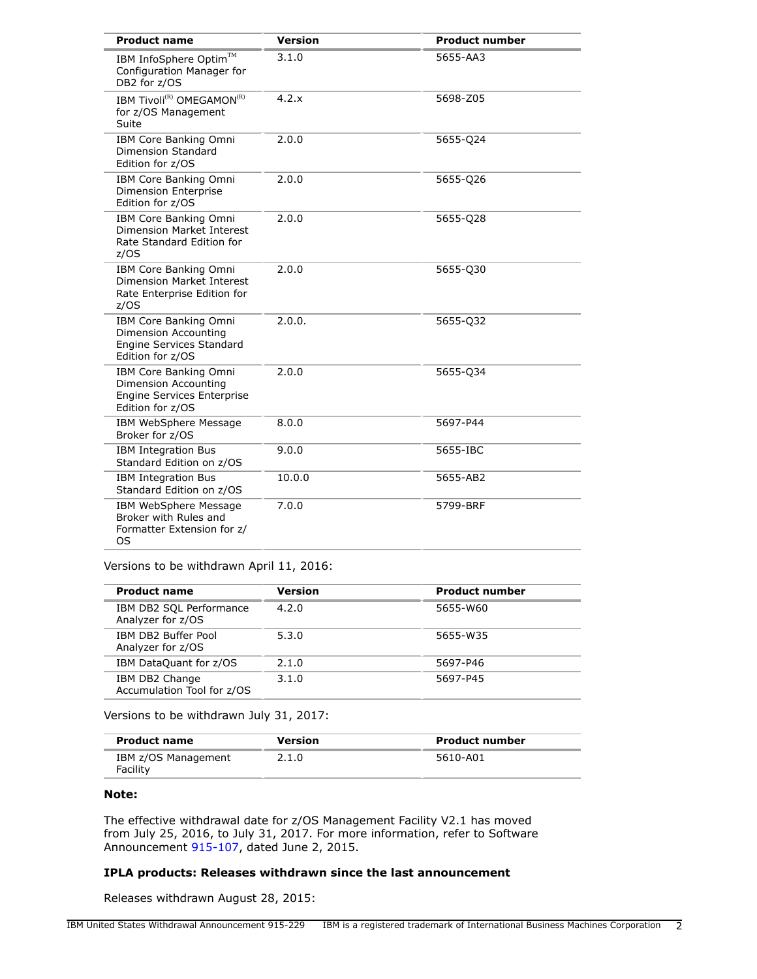| <b>Product name</b>                                                                                           | <b>Version</b> | <b>Product number</b> |
|---------------------------------------------------------------------------------------------------------------|----------------|-----------------------|
| IBM InfoSphere Optim™<br>Configuration Manager for<br>DB2 for z/OS                                            | 3.1.0          | 5655-AA3              |
| IBM Tivoli <sup>(R)</sup> OMEGAMON <sup>(R)</sup><br>for z/OS Management<br>Suite                             | 4.2.x          | 5698-Z05              |
| IBM Core Banking Omni<br><b>Dimension Standard</b><br>Edition for z/OS                                        | 2.0.0          | 5655-024              |
| IBM Core Banking Omni<br><b>Dimension Enterprise</b><br>Edition for z/OS                                      | 2.0.0          | 5655-026              |
| IBM Core Banking Omni<br><b>Dimension Market Interest</b><br>Rate Standard Edition for<br>z/OS                | 2.0.0          | 5655-028              |
| IBM Core Banking Omni<br>Dimension Market Interest<br>Rate Enterprise Edition for<br>z/OS                     | 2.0.0          | 5655-Q30              |
| IBM Core Banking Omni<br><b>Dimension Accounting</b><br><b>Engine Services Standard</b><br>Edition for z/OS   | 2.0.0.         | 5655-Q32              |
| IBM Core Banking Omni<br><b>Dimension Accounting</b><br><b>Engine Services Enterprise</b><br>Edition for z/OS | 2.0.0          | 5655-034              |
| IBM WebSphere Message<br>Broker for z/OS                                                                      | 8.0.0          | 5697-P44              |
| <b>IBM Integration Bus</b><br>Standard Edition on z/OS                                                        | 9.0.0          | 5655-IBC              |
| <b>IBM Integration Bus</b><br>Standard Edition on z/OS                                                        | 10.0.0         | 5655-AB2              |
| IBM WebSphere Message<br>Broker with Rules and<br>Formatter Extension for z/<br><b>OS</b>                     | 7.0.0          | 5799-BRF              |

Versions to be withdrawn April 11, 2016:

| <b>Product name</b>                          | <b>Version</b> | <b>Product number</b> |
|----------------------------------------------|----------------|-----------------------|
| IBM DB2 SQL Performance<br>Analyzer for z/OS | 4.2.0          | 5655-W60              |
| IBM DB2 Buffer Pool<br>Analyzer for z/OS     | 5.3.0          | 5655-W35              |
| IBM DataQuant for z/OS                       | 2.1.0          | 5697-P46              |
| IBM DB2 Change<br>Accumulation Tool for z/OS | 3.1.0          | 5697-P45              |

Versions to be withdrawn July 31, 2017:

| <b>Product name</b>             | Version | <b>Product number</b> |
|---------------------------------|---------|-----------------------|
| IBM z/OS Management<br>Facility | 2.1.0   | 5610-A01              |

#### **Note:**

The effective withdrawal date for z/OS Management Facility V2.1 has moved from July 25, 2016, to July 31, 2017. For more information, refer to Software Announcement [915-107](http://www.ibm.com/common/ssi/cgi-bin/ssialias?infotype=an&subtype=ca&appname=gpateam&supplier=897&letternum=ENUS915-107), dated June 2, 2015.

## **IPLA products: Releases withdrawn since the last announcement**

Releases withdrawn August 28, 2015: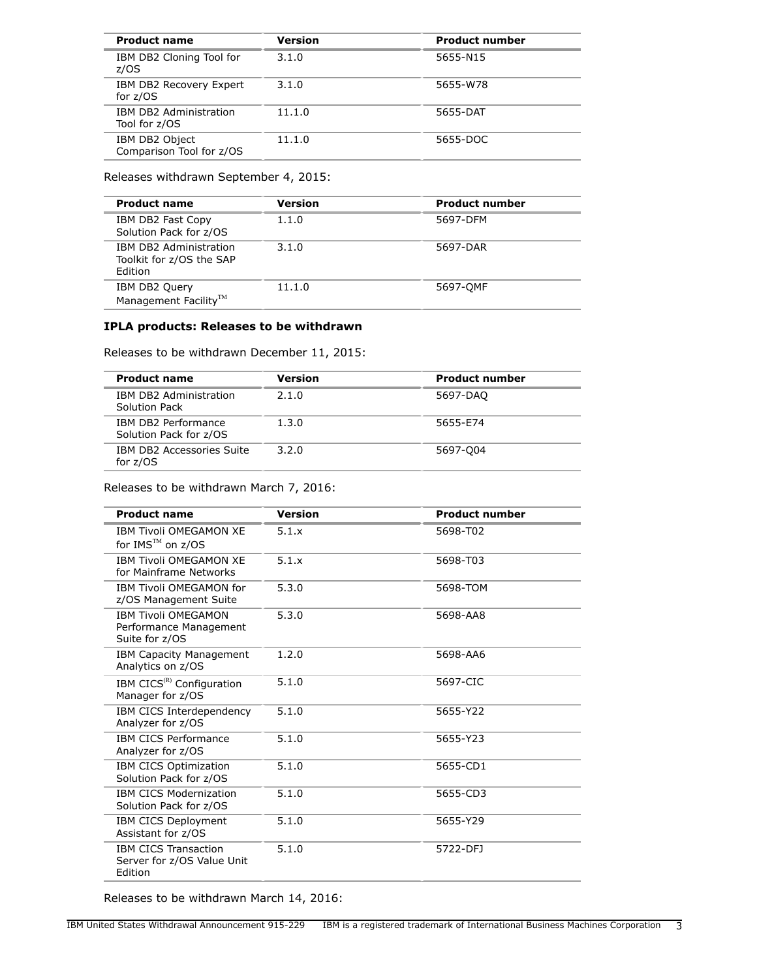| <b>Product name</b>                        | Version | <b>Product number</b> |
|--------------------------------------------|---------|-----------------------|
| IBM DB2 Cloning Tool for<br>z/OS           | 3.1.0   | 5655-N15              |
| IBM DB2 Recovery Expert<br>for $z/OS$      | 3.1.0   | 5655-W78              |
| IBM DB2 Administration<br>Tool for z/OS    | 11.1.0  | 5655-DAT              |
| IBM DB2 Object<br>Comparison Tool for z/OS | 11.1.0  | 5655-DOC              |

Releases withdrawn September 4, 2015:

| <b>Product name</b>                                           | Version | <b>Product number</b> |
|---------------------------------------------------------------|---------|-----------------------|
| IBM DB2 Fast Copy<br>Solution Pack for z/OS                   | 1.1.0   | 5697-DFM              |
| IBM DB2 Administration<br>Toolkit for z/OS the SAP<br>Edition | 3.1.0   | 5697-DAR              |
| IBM DB2 Query<br>Management Facility <sup>™</sup>             | 11.1.0  | 5697-OMF              |

## **IPLA products: Releases to be withdrawn**

Releases to be withdrawn December 11, 2015:

| <b>Product name</b>                           | Version | <b>Product number</b> |
|-----------------------------------------------|---------|-----------------------|
| IBM DB2 Administration<br>Solution Pack       | 2.1.0   | 5697-DAQ              |
| IBM DB2 Performance<br>Solution Pack for z/OS | 1.3.0   | 5655-E74              |
| IBM DB2 Accessories Suite<br>for $z/OS$       | 3.2.0   | 5697-004              |

Releases to be withdrawn March 7, 2016:

| <b>Product name</b>                                                    | <b>Version</b> | <b>Product number</b> |
|------------------------------------------------------------------------|----------------|-----------------------|
| <b>IBM Tivoli OMEGAMON XE</b><br>for IMS™ on z/OS                      | 5.1.x          | 5698-T02              |
| <b>IBM Tivoli OMFGAMON XF</b><br>for Mainframe Networks                | 5.1.x          | 5698-T03              |
| IBM Tivoli OMEGAMON for<br>z/OS Management Suite                       | 5.3.0          | 5698-TOM              |
| <b>IBM Tivoli OMEGAMON</b><br>Performance Management<br>Suite for z/OS | 5.3.0          | 5698-AA8              |
| <b>IBM Capacity Management</b><br>Analytics on z/OS                    | 1.2.0          | 5698-AA6              |
| IBM CICS <sup>(R)</sup> Configuration<br>Manager for z/OS              | 5.1.0          | 5697-CIC              |
| IBM CICS Interdependency<br>Analyzer for z/OS                          | 5.1.0          | 5655-Y22              |
| <b>IBM CICS Performance</b><br>Analyzer for z/OS                       | 5.1.0          | 5655-Y23              |
| IBM CICS Optimization<br>Solution Pack for z/OS                        | 5.1.0          | 5655-CD1              |
| <b>IBM CICS Modernization</b><br>Solution Pack for z/OS                | 5.1.0          | 5655-CD3              |
| IBM CICS Deployment<br>Assistant for z/OS                              | 5.1.0          | 5655-Y29              |
| <b>IBM CICS Transaction</b><br>Server for z/OS Value Unit<br>Edition   | 5.1.0          | 5722-DFJ              |

Releases to be withdrawn March 14, 2016: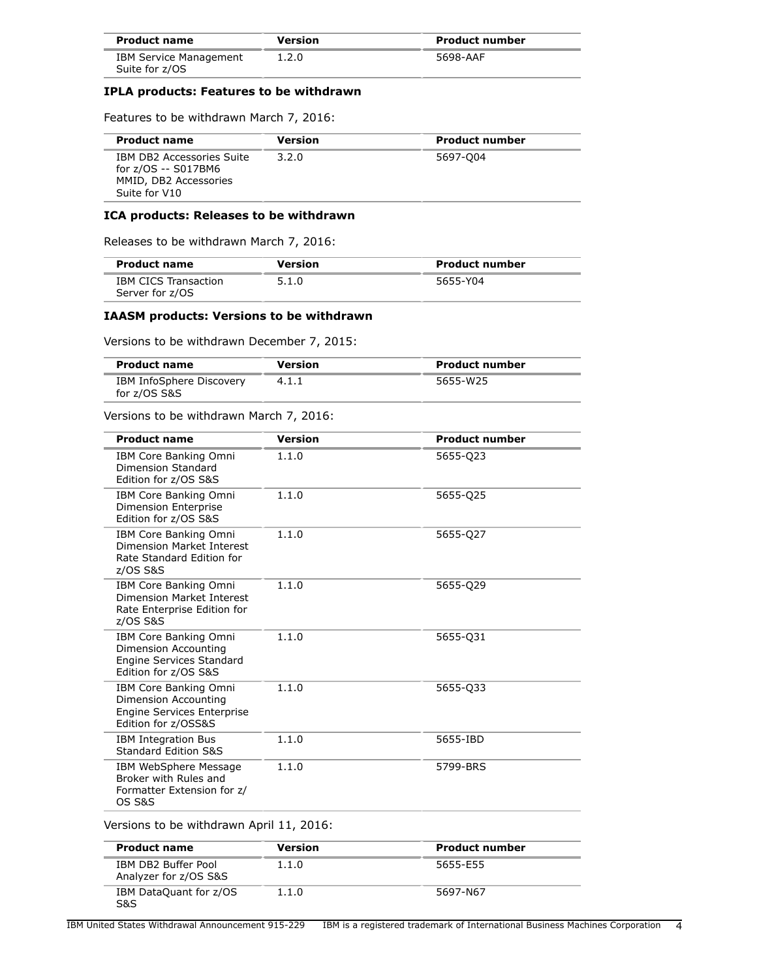| <b>Product name</b>                             | Version | <b>Product number</b> |
|-------------------------------------------------|---------|-----------------------|
| <b>IBM Service Management</b><br>Suite for z/OS | 1.2.0   | 5698-AAF              |

#### **IPLA products: Features to be withdrawn**

Features to be withdrawn March 7, 2016:

| <b>Product name</b>                                                                        | <b>Version</b> | <b>Product number</b> |
|--------------------------------------------------------------------------------------------|----------------|-----------------------|
| IBM DB2 Accessories Suite<br>for z/OS -- S017BM6<br>MMID, DB2 Accessories<br>Suite for V10 | 3.2.0          | 5697-004              |

### **ICA products: Releases to be withdrawn**

Releases to be withdrawn March 7, 2016:

| <b>Product name</b>                            | Version | <b>Product number</b> |
|------------------------------------------------|---------|-----------------------|
| <b>IBM CICS Transaction</b><br>Server for z/OS | 5.1.0   | 5655-Y04              |

#### **IAASM products: Versions to be withdrawn**

Versions to be withdrawn December 7, 2015:

| <b>Product name</b>                      | Version | <b>Product number</b> |
|------------------------------------------|---------|-----------------------|
| IBM InfoSphere Discovery<br>for z/OS S&S | 4.1.1   | 5655-W25              |

Versions to be withdrawn March 7, 2016:

| <b>Product name</b>                                                                                      | <b>Version</b> | <b>Product number</b> |
|----------------------------------------------------------------------------------------------------------|----------------|-----------------------|
| IBM Core Banking Omni<br>Dimension Standard<br>Edition for z/OS S&S                                      | 1.1.0          | 5655-Q23              |
| IBM Core Banking Omni<br><b>Dimension Enterprise</b><br>Edition for z/OS S&S                             | 1.1.0          | 5655-025              |
| IBM Core Banking Omni<br>Dimension Market Interest<br>Rate Standard Edition for<br>z/OS S&S              | 1.1.0          | 5655-027              |
| IBM Core Banking Omni<br>Dimension Market Interest<br>Rate Enterprise Edition for<br>z/OS S&S            | 1.1.0          | 5655-029              |
| IBM Core Banking Omni<br>Dimension Accounting<br><b>Engine Services Standard</b><br>Edition for z/OS S&S | 1.1.0          | 5655-031              |
| IBM Core Banking Omni<br>Dimension Accounting<br>Engine Services Enterprise<br>Edition for z/OSS&S       | 1.1.0          | 5655-033              |
| <b>IBM Integration Bus</b><br>Standard Edition S&S                                                       | 1.1.0          | 5655-IBD              |
| IBM WebSphere Message<br>Broker with Rules and<br>Formatter Extension for z/<br><b>OS S&amp;S</b>        | 1.1.0          | 5799-BRS              |

Versions to be withdrawn April 11, 2016:

| <b>Product name</b>                          | Version | <b>Product number</b> |
|----------------------------------------------|---------|-----------------------|
| IBM DB2 Buffer Pool<br>Analyzer for z/OS S&S | 1.1.0   | 5655-F55              |
| IBM DataQuant for z/OS<br>S&S                | 1.1.0   | 5697-N67              |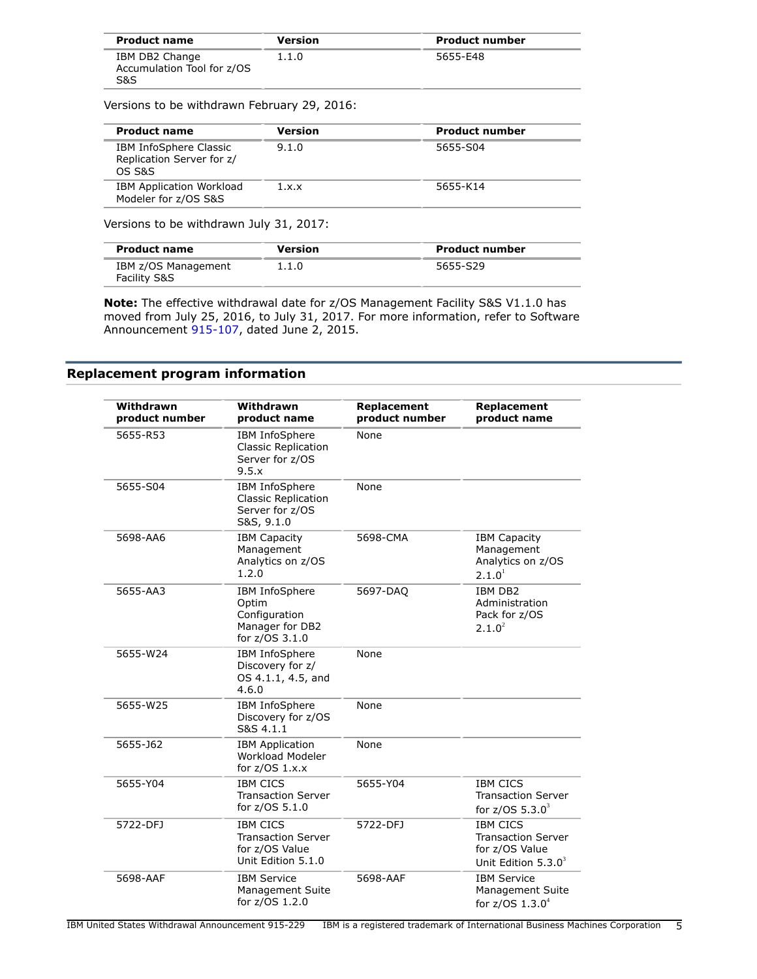| <b>Product name</b>                                 | Version | <b>Product number</b> |  |
|-----------------------------------------------------|---------|-----------------------|--|
| IBM DB2 Change<br>Accumulation Tool for z/OS<br>S&S | 1.1.0   | 5655-E48              |  |

Versions to be withdrawn February 29, 2016:

| <b>Product name</b>                                           | Version | <b>Product number</b> |
|---------------------------------------------------------------|---------|-----------------------|
| IBM InfoSphere Classic<br>Replication Server for z/<br>OS S&S | 9.1.0   | 5655-S04              |
| <b>IBM Application Workload</b><br>Modeler for z/OS S&S       | 1.x.x   | 5655-K14              |

Versions to be withdrawn July 31, 2017:

| <b>Product name</b>                            | Version | <b>Product number</b> |
|------------------------------------------------|---------|-----------------------|
| IBM z/OS Management<br><b>Facility S&amp;S</b> | 1.1.0   | 5655-S29              |

**Note:** The effective withdrawal date for z/OS Management Facility S&S V1.1.0 has moved from July 25, 2016, to July 31, 2017. For more information, refer to Software Announcement [915-107](http://www.ibm.com/common/ssi/cgi-bin/ssialias?infotype=an&subtype=ca&appname=gpateam&supplier=897&letternum=ENUS915-107), dated June 2, 2015.

## <span id="page-4-0"></span>**Replacement program information**

| Withdrawn<br>product number | Withdrawn<br>product name                                                            | Replacement<br>product number | Replacement<br>product name                                                              |
|-----------------------------|--------------------------------------------------------------------------------------|-------------------------------|------------------------------------------------------------------------------------------|
| 5655-R53                    | <b>IBM InfoSphere</b><br><b>Classic Replication</b><br>Server for z/OS<br>9.5.x      | None                          |                                                                                          |
| 5655-S04                    | IBM InfoSphere<br><b>Classic Replication</b><br>Server for z/OS<br>S&S, 9.1.0        | None                          |                                                                                          |
| 5698-AA6                    | <b>IBM Capacity</b><br>Management<br>Analytics on z/OS<br>1.2.0                      | 5698-CMA                      | <b>IBM Capacity</b><br>Management<br>Analytics on z/OS<br>2.1.0 <sup>1</sup>             |
| 5655-AA3                    | IBM InfoSphere<br>Optim<br>Configuration<br>Manager for DB2<br>for z/OS 3.1.0        | 5697-DAQ                      | <b>IBM DB2</b><br>Administration<br>Pack for z/OS<br>2.1.0 <sup>2</sup>                  |
| 5655-W24                    | IBM InfoSphere<br>Discovery for z/<br>OS 4.1.1, 4.5, and<br>4.6.0                    | None                          |                                                                                          |
| 5655-W25                    | IBM InfoSphere<br>Discovery for z/OS<br>S&S 4.1.1                                    | None                          |                                                                                          |
| 5655-162                    | <b>IBM Application</b><br>Workload Modeler<br>for $z/OS$ 1.x.x                       | None                          |                                                                                          |
| 5655-Y04                    | <b>IBM CICS</b><br><b>Transaction Server</b><br>for z/OS 5.1.0                       | 5655-Y04                      | <b>IBM CICS</b><br><b>Transaction Server</b><br>for $z/OS$ 5.3.0 <sup>3</sup>            |
| 5722-DFJ                    | <b>IBM CICS</b><br><b>Transaction Server</b><br>for z/OS Value<br>Unit Edition 5.1.0 | 5722-DFJ                      | <b>IBM CICS</b><br><b>Transaction Server</b><br>for z/OS Value<br>Unit Edition $5.3.0^3$ |
| 5698-AAF                    | <b>IBM Service</b><br>Management Suite<br>for z/OS 1.2.0                             | 5698-AAF                      | <b>IBM Service</b><br>Management Suite<br>for $z/OS$ 1.3.0 <sup>4</sup>                  |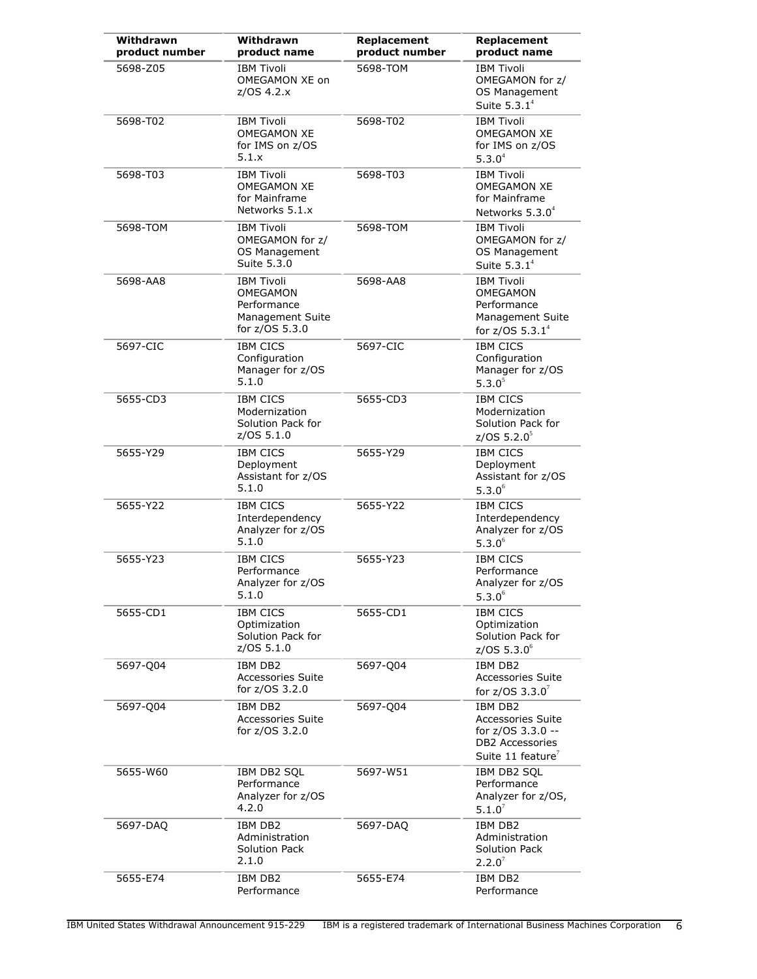| Withdrawn<br>product number | Withdrawn<br>product name                                                          | Replacement<br>product number | Replacement<br>product name                                                                                  |
|-----------------------------|------------------------------------------------------------------------------------|-------------------------------|--------------------------------------------------------------------------------------------------------------|
| 5698-Z05                    | <b>IBM Tivoli</b><br>OMEGAMON XE on<br>z/OS 4.2.x                                  | 5698-TOM                      | <b>IBM Tivoli</b><br>OMEGAMON for z/<br>OS Management<br>Suite $5.3.1^4$                                     |
| 5698-T02                    | <b>IBM Tivoli</b><br><b>OMEGAMON XE</b><br>for IMS on z/OS<br>5.1.x                | 5698-T02                      | <b>IBM Tivoli</b><br><b>OMEGAMON XE</b><br>for IMS on z/OS<br>5.3.0 <sup>4</sup>                             |
| 5698-T03                    | <b>IBM Tivoli</b><br><b>OMEGAMON XE</b><br>for Mainframe<br>Networks 5.1.x         | 5698-T03                      | <b>IBM Tivoli</b><br><b>OMEGAMON XE</b><br>for Mainframe<br>Networks $5.3.04$                                |
| 5698-TOM                    | <b>IBM Tivoli</b><br>OMEGAMON for z/<br>OS Management<br>Suite 5.3.0               | 5698-TOM                      | <b>IBM Tivoli</b><br>OMEGAMON for z/<br>OS Management<br>Suite $5.3.1^4$                                     |
| 5698-AA8                    | <b>IBM Tivoli</b><br>OMEGAMON<br>Performance<br>Management Suite<br>for z/OS 5.3.0 | 5698-AA8                      | <b>IBM Tivoli</b><br>OMEGAMON<br>Performance<br>Management Suite<br>for $z/OS 5.3.1^4$                       |
| 5697-CIC                    | <b>IBM CICS</b><br>Configuration<br>Manager for z/OS<br>5.1.0                      | 5697-CIC                      | <b>IBM CICS</b><br>Configuration<br>Manager for z/OS<br>5.3.0 <sup>5</sup>                                   |
| 5655-CD3                    | <b>IBM CICS</b><br>Modernization<br>Solution Pack for<br>z/OS 5.1.0                | 5655-CD3                      | <b>IBM CICS</b><br>Modernization<br>Solution Pack for<br>z/OS $5.2.0^5$                                      |
| 5655-Y29                    | <b>IBM CICS</b><br>Deployment<br>Assistant for z/OS<br>5.1.0                       | 5655-Y29                      | <b>IBM CICS</b><br>Deployment<br>Assistant for z/OS<br>$5.3.0^6$                                             |
| 5655-Y22                    | <b>IBM CICS</b><br>Interdependency<br>Analyzer for z/OS<br>5.1.0                   | 5655-Y22                      | <b>IBM CICS</b><br>Interdependency<br>Analyzer for z/OS<br>$5.3.0^6$                                         |
| 5655-Y23                    | <b>IBM CICS</b><br>Performance<br>Analyzer for z/OS<br>5.1.0                       | 5655-Y23                      | <b>IBM CICS</b><br>Performance<br>Analyzer for z/OS<br>$5.3.0^6$                                             |
| 5655-CD1                    | <b>IBM CICS</b><br>Optimization<br>Solution Pack for<br>z/OS 5.1.0                 | 5655-CD1                      | <b>IBM CICS</b><br>Optimization<br>Solution Pack for<br>$z$ /OS 5.3.0 $^{6}$                                 |
| 5697-Q04                    | IBM DB2<br><b>Accessories Suite</b><br>for z/OS 3.2.0                              | 5697-Q04                      | <b>IBM DB2</b><br><b>Accessories Suite</b><br>for $z/OS$ 3.3.0 <sup>7</sup>                                  |
| 5697-Q04                    | IBM DB2<br><b>Accessories Suite</b><br>for z/OS 3.2.0                              | 5697-Q04                      | IBM DB2<br><b>Accessories Suite</b><br>for z/OS 3.3.0 --<br>DB2 Accessories<br>Suite 11 feature <sup>7</sup> |
| 5655-W60                    | IBM DB2 SQL<br>Performance<br>Analyzer for z/OS<br>4.2.0                           | 5697-W51                      | IBM DB2 SQL<br>Performance<br>Analyzer for z/OS,<br>$5.1.0^{7}$                                              |
| 5697-DAQ                    | IBM DB2<br>Administration<br>Solution Pack<br>2.1.0                                | 5697-DAQ                      | IBM DB2<br>Administration<br><b>Solution Pack</b><br>2.2.0 <sup>7</sup>                                      |
| 5655-E74                    | IBM DB2<br>Performance                                                             | 5655-E74                      | IBM DB2<br>Performance                                                                                       |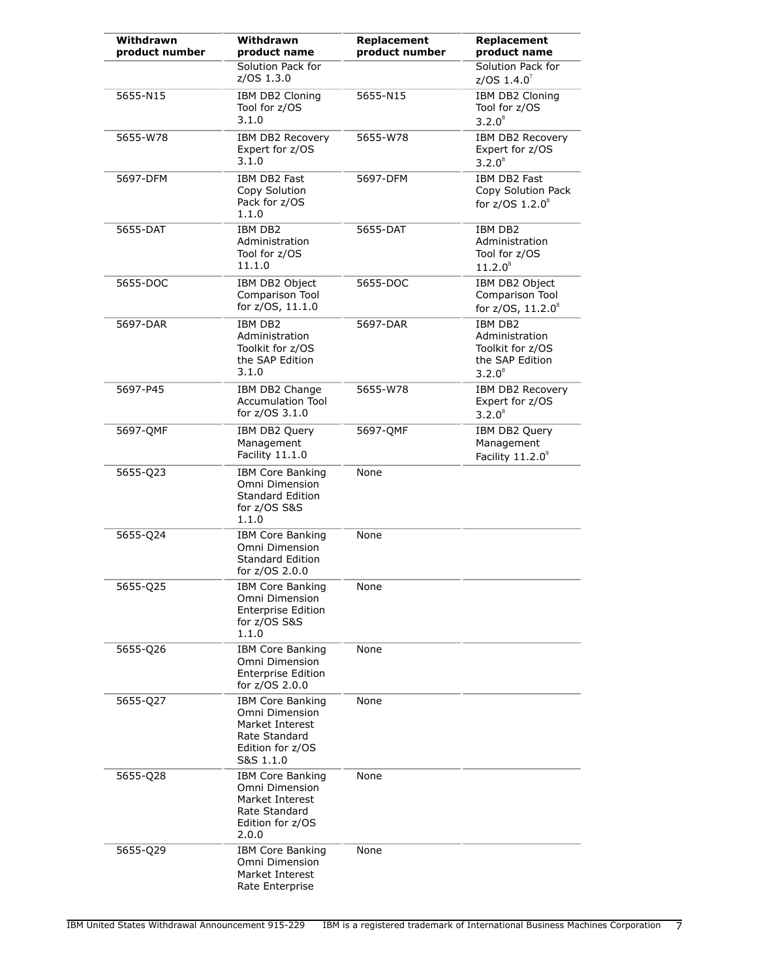| Withdrawn<br>product number | Withdrawn<br>product name                                                                                      | Replacement<br>product number | Replacement<br>product name                                                   |
|-----------------------------|----------------------------------------------------------------------------------------------------------------|-------------------------------|-------------------------------------------------------------------------------|
|                             | Solution Pack for<br>z/OS 1.3.0                                                                                |                               | Solution Pack for<br>z/OS $1.4.0^7$                                           |
| 5655-N15                    | IBM DB2 Cloning<br>Tool for z/OS<br>3.1.0                                                                      | 5655-N15                      | IBM DB2 Cloning<br>Tool for z/OS<br>3.2.0 <sup>8</sup>                        |
| 5655-W78                    | IBM DB2 Recovery<br>Expert for z/OS<br>3.1.0                                                                   | 5655-W78                      | IBM DB2 Recovery<br>Expert for z/OS<br>$3.2.0^8$                              |
| 5697-DFM                    | IBM DB2 Fast<br>Copy Solution<br>Pack for z/OS<br>1.1.0                                                        | 5697-DFM                      | IBM DB2 Fast<br>Copy Solution Pack<br>for $z/OS$ 1.2.0 <sup>8</sup>           |
| 5655-DAT                    | IBM DB2<br>Administration<br>Tool for z/OS<br>11.1.0                                                           | 5655-DAT                      | IBM DB2<br>Administration<br>Tool for z/OS<br>11.2.0 <sup>8</sup>             |
| 5655-DOC                    | IBM DB2 Object<br>Comparison Tool<br>for z/OS, 11.1.0                                                          | 5655-DOC                      | IBM DB2 Object<br>Comparison Tool<br>for z/OS, 11.2.0 <sup>8</sup>            |
| 5697-DAR                    | IBM DB2<br>Administration<br>Toolkit for z/OS<br>the SAP Edition<br>3.1.0                                      | 5697-DAR                      | IBM DB2<br>Administration<br>Toolkit for z/OS<br>the SAP Edition<br>$3.2.0^8$ |
| 5697-P45                    | IBM DB2 Change<br><b>Accumulation Tool</b><br>for z/OS 3.1.0                                                   | 5655-W78                      | IBM DB2 Recovery<br>Expert for z/OS<br>$3.2.0^8$                              |
| 5697-QMF                    | IBM DB2 Query<br>Management<br>Facility 11.1.0                                                                 | 5697-QMF                      | IBM DB2 Query<br>Management<br>Facility 11.2.09                               |
| 5655-Q23                    | <b>IBM Core Banking</b><br>Omni Dimension<br><b>Standard Edition</b><br>for z/OS S&S<br>1.1.0                  | None                          |                                                                               |
| 5655-Q24                    | <b>IBM Core Banking</b><br>Omni Dimension<br><b>Standard Edition</b><br>for z/OS 2.0.0                         | None                          |                                                                               |
| 5655-Q25                    | <b>IBM Core Banking</b><br>Omni Dimension<br><b>Enterprise Edition</b><br>for z/OS S&S<br>1.1.0                | None                          |                                                                               |
| 5655-Q26                    | <b>IBM Core Banking</b><br>Omni Dimension<br><b>Enterprise Edition</b><br>for z/OS 2.0.0                       | None                          |                                                                               |
| 5655-Q27                    | <b>IBM Core Banking</b><br>Omni Dimension<br>Market Interest<br>Rate Standard<br>Edition for z/OS<br>S&S 1.1.0 | None                          |                                                                               |
| 5655-Q28                    | <b>IBM Core Banking</b><br>Omni Dimension<br>Market Interest<br>Rate Standard<br>Edition for z/OS<br>2.0.0     | None                          |                                                                               |
| 5655-Q29                    | <b>IBM Core Banking</b><br>Omni Dimension<br>Market Interest<br>Rate Enterprise                                | None                          |                                                                               |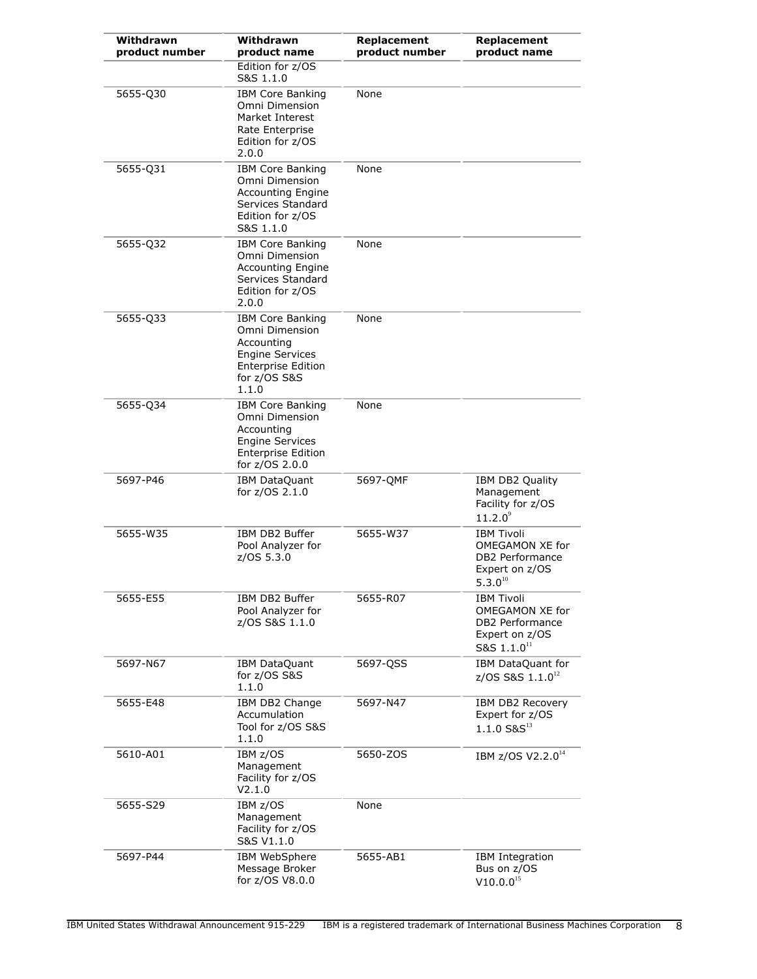| Withdrawn<br>product number | Withdrawn<br>product name                                                                                                               | Replacement<br>product number | Replacement<br>product name                                                                            |
|-----------------------------|-----------------------------------------------------------------------------------------------------------------------------------------|-------------------------------|--------------------------------------------------------------------------------------------------------|
|                             | Edition for z/OS<br>S&S 1.1.0                                                                                                           |                               |                                                                                                        |
| 5655-Q30                    | <b>IBM Core Banking</b><br>Omni Dimension<br>Market Interest<br>Rate Enterprise<br>Edition for z/OS<br>2.0.0                            | None                          |                                                                                                        |
| 5655-Q31                    | <b>IBM Core Banking</b><br>Omni Dimension<br><b>Accounting Engine</b><br>Services Standard<br>Edition for z/OS<br>S&S 1.1.0             | None                          |                                                                                                        |
| 5655-Q32                    | <b>IBM Core Banking</b><br>Omni Dimension<br><b>Accounting Engine</b><br>Services Standard<br>Edition for z/OS<br>2.0.0                 | None                          |                                                                                                        |
| 5655-033                    | <b>IBM Core Banking</b><br>Omni Dimension<br>Accounting<br><b>Engine Services</b><br><b>Enterprise Edition</b><br>for z/OS S&S<br>1.1.0 | None                          |                                                                                                        |
| 5655-Q34                    | <b>IBM Core Banking</b><br>Omni Dimension<br>Accounting<br><b>Engine Services</b><br><b>Enterprise Edition</b><br>for z/OS 2.0.0        | None                          |                                                                                                        |
| 5697-P46                    | IBM DataQuant<br>for z/OS 2.1.0                                                                                                         | 5697-QMF                      | IBM DB2 Quality<br>Management<br>Facility for z/OS<br>$11.2.0^9$                                       |
| 5655-W35                    | IBM DB2 Buffer<br>Pool Analyzer for<br>z/OS 5.3.0                                                                                       | 5655-W37                      | <b>IBM Tivoli</b><br>OMEGAMON XE for<br>DB2 Performance<br>Expert on z/OS<br>$5.3.0^{10}$              |
| 5655-E55                    | IBM DB2 Buffer<br>Pool Analyzer for<br>z/OS S&S 1.1.0                                                                                   | 5655-R07                      | <b>IBM Tivoli</b><br>OMEGAMON XE for<br>DB2 Performance<br>Expert on z/OS<br>S&S $1.1.0$ <sup>11</sup> |
| 5697-N67                    | <b>IBM DataQuant</b><br>for z/OS S&S<br>1.1.0                                                                                           | 5697-QSS                      | IBM DataQuant for<br>z/OS S&S 1.1.0 <sup>12</sup>                                                      |
| 5655-E48                    | IBM DB2 Change<br>Accumulation<br>Tool for z/OS S&S<br>1.1.0                                                                            | 5697-N47                      | IBM DB2 Recovery<br>Expert for z/OS<br>$1.1.0 S & S^{13}$                                              |
| 5610-A01                    | IBM z/OS<br>Management<br>Facility for z/OS<br>V2.1.0                                                                                   | 5650-ZOS                      | IBM z/OS V2.2.0 <sup>14</sup>                                                                          |
| 5655-S29                    | IBM z/OS<br>Management<br>Facility for z/OS<br>S&S V1.1.0                                                                               | None                          |                                                                                                        |
| 5697-P44                    | IBM WebSphere<br>Message Broker<br>for z/OS V8.0.0                                                                                      | 5655-AB1                      | IBM Integration<br>Bus on z/OS<br>$V10.0.0^{15}$                                                       |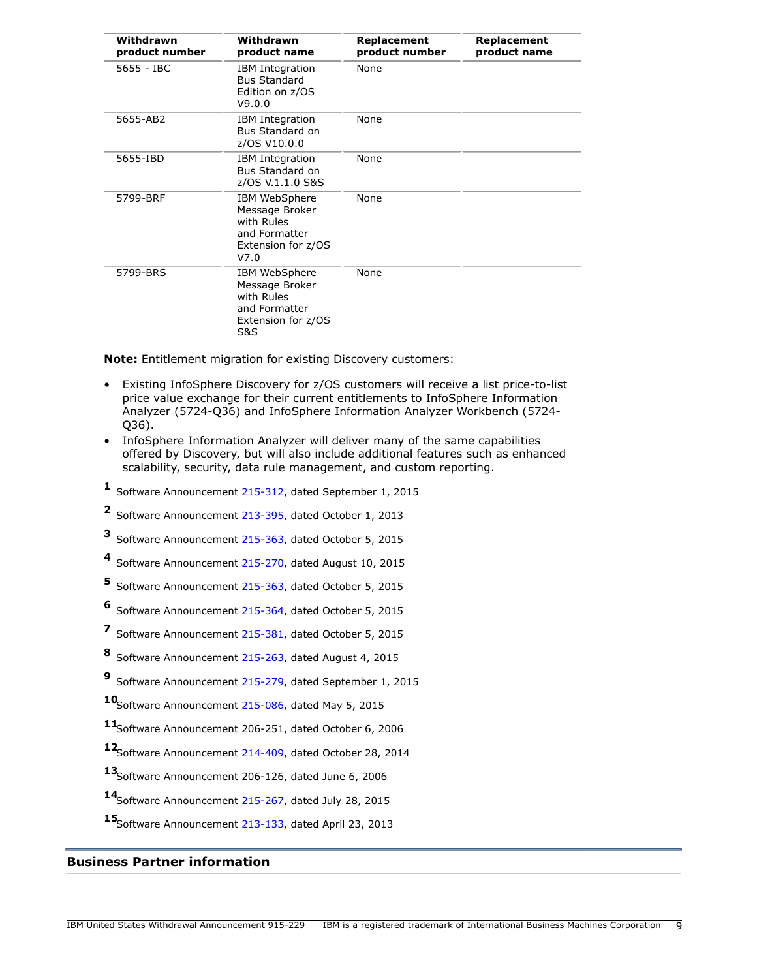| Withdrawn<br>product number | Withdrawn<br>product name                                                                              | Replacement<br>product number | Replacement<br>product name |
|-----------------------------|--------------------------------------------------------------------------------------------------------|-------------------------------|-----------------------------|
| 5655 - IBC                  | <b>IBM</b> Integration<br><b>Bus Standard</b><br>Edition on z/OS<br>V9.0.0                             | None                          |                             |
| 5655-AB2                    | <b>IBM</b> Integration<br>Bus Standard on<br>z/OS V10.0.0                                              | None                          |                             |
| 5655-IBD                    | <b>IBM</b> Integration<br>Bus Standard on<br>z/OS V.1.1.0 S&S                                          | None                          |                             |
| 5799-BRF                    | IBM WebSphere<br>Message Broker<br>with Rules<br>and Formatter<br>Extension for z/OS<br>V7.0           | None                          |                             |
| 5799-BRS                    | IBM WebSphere<br>Message Broker<br>with Rules<br>and Formatter<br>Extension for z/OS<br><b>S&amp;S</b> | None                          |                             |

**Note:** Entitlement migration for existing Discovery customers:

- Existing InfoSphere Discovery for z/OS customers will receive a list price-to-list price value exchange for their current entitlements to InfoSphere Information Analyzer (5724-Q36) and InfoSphere Information Analyzer Workbench (5724- Q36).
- InfoSphere Information Analyzer will deliver many of the same capabilities offered by Discovery, but will also include additional features such as enhanced scalability, security, data rule management, and custom reporting.
- **1** Software Announcement [215-312,](http://www.ibm.com/common/ssi/cgi-bin/ssialias?infotype=an&subtype=ca&appname=gpateam&supplier=897&letternum=ENUS215-312) dated September 1, 2015
- **2** Software Announcement [213-395,](http://www.ibm.com/common/ssi/cgi-bin/ssialias?infotype=an&subtype=ca&appname=gpateam&supplier=897&letternum=ENUS213-395) dated October 1, 2013
- **3** Software Announcement [215-363,](http://www.ibm.com/common/ssi/cgi-bin/ssialias?infotype=an&subtype=ca&appname=gpateam&supplier=897&letternum=ENUS215-363) dated October 5, 2015
- **4** Software Announcement [215-270,](http://www.ibm.com/common/ssi/cgi-bin/ssialias?infotype=an&subtype=ca&appname=gpateam&supplier=897&letternum=ENUS215-270) dated August 10, 2015
- **5** Software Announcement [215-363,](http://www.ibm.com/common/ssi/cgi-bin/ssialias?infotype=an&subtype=ca&appname=gpateam&supplier=897&letternum=ENUS215-363) dated October 5, 2015
- **6** Software Announcement [215-364,](http://www.ibm.com/common/ssi/cgi-bin/ssialias?infotype=an&subtype=ca&appname=gpateam&supplier=897&letternum=ENUS215-364) dated October 5, 2015
- **7** Software Announcement [215-381,](http://www.ibm.com/common/ssi/cgi-bin/ssialias?infotype=an&subtype=ca&appname=gpateam&supplier=897&letternum=ENUS215-381) dated October 5, 2015
- **8** Software Announcement [215-263,](http://www.ibm.com/common/ssi/cgi-bin/ssialias?infotype=an&subtype=ca&appname=gpateam&supplier=897&letternum=ENUS215-263) dated August 4, 2015
- **9** Software Announcement [215-279,](http://www.ibm.com/common/ssi/cgi-bin/ssialias?infotype=an&subtype=ca&appname=gpateam&supplier=897&letternum=ENUS215-279) dated September 1, 2015

**<sup>10</sup>**Software Announcement [215-086,](http://www.ibm.com/common/ssi/cgi-bin/ssialias?infotype=an&subtype=ca&appname=gpateam&supplier=897&letternum=ENUS215-086) dated May 5, 2015

**<sup>11</sup>**Software Announcement 206-251, dated October 6, 2006

**<sup>12</sup>**Software Announcement [214-409,](http://www.ibm.com/common/ssi/cgi-bin/ssialias?infotype=an&subtype=ca&appname=gpateam&supplier=897&letternum=ENUS214-409) dated October 28, 2014

- **<sup>13</sup>**Software Announcement 206-126, dated June 6, 2006
- **<sup>14</sup>**Software Announcement [215-267,](http://www.ibm.com/common/ssi/cgi-bin/ssialias?infotype=an&subtype=ca&appname=gpateam&supplier=897&letternum=ENUS215-267) dated July 28, 2015

**<sup>15</sup>**Software Announcement [213-133,](http://www.ibm.com/common/ssi/cgi-bin/ssialias?infotype=an&subtype=ca&appname=gpateam&supplier=897&letternum=ENUS213-133) dated April 23, 2013

## **Business Partner information**